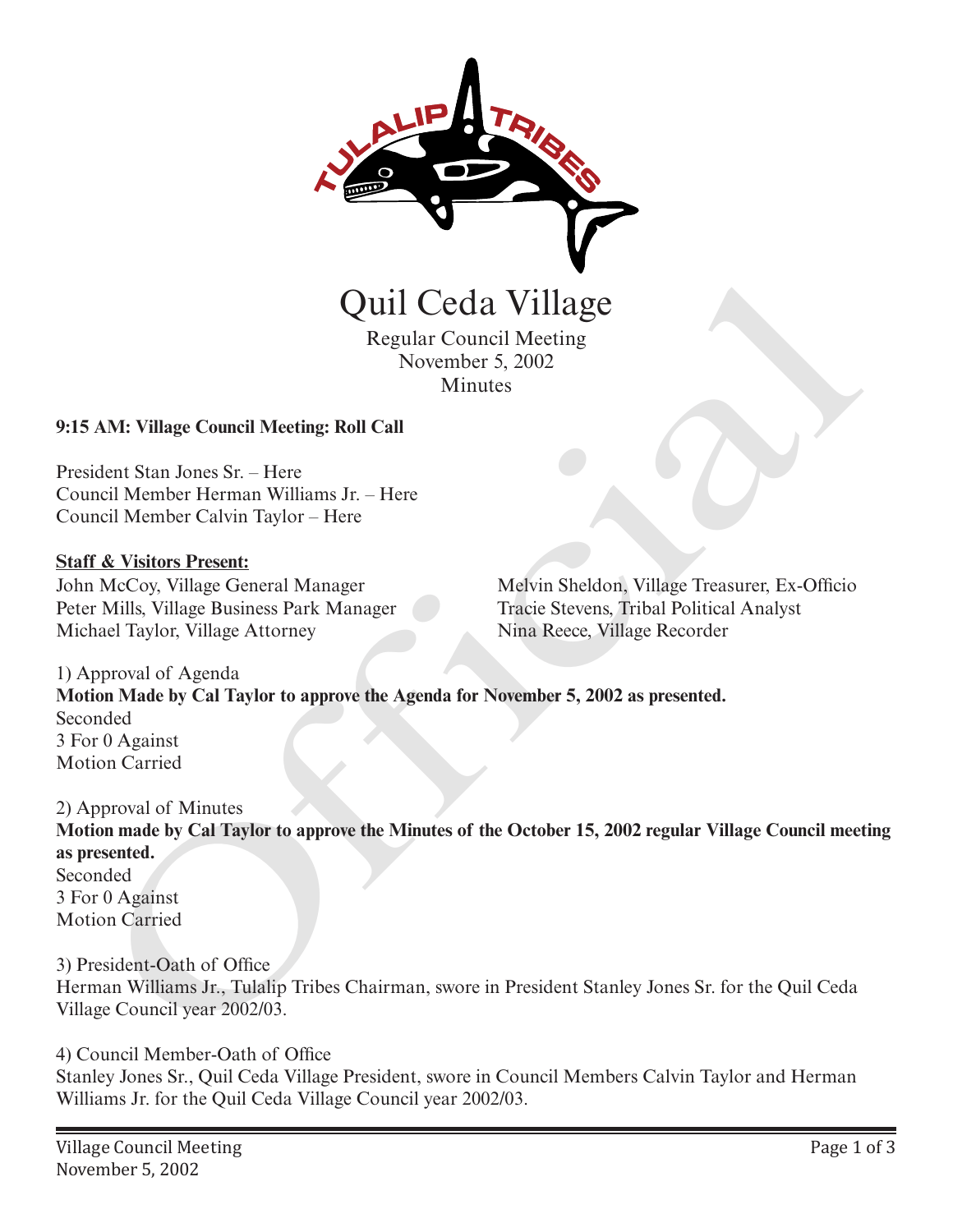

Regular Council Meeting November 5, 2002 **Minutes** 

### **9:15 AM: Village Council Meeting: Roll Call**

President Stan Jones Sr. – Here Council Member Herman Williams Jr. – Here Council Member Calvin Taylor – Here

#### **Staff & Visitors Present:**

John McCoy, Village General Manager Peter Mills, Village Business Park Manager Michael Taylor, Village Attorney

Melvin Sheldon, Village Treasurer, Ex-Officio Tracie Stevens, Tribal Political Analyst Nina Reece, Village Recorder

1) Approval of Agenda **Motion Made by Cal Taylor to approve the Agenda for November 5, 2002 as presented.** Seconded 3 For 0 Against Motion Carried

2) Approval of Minutes **Motion made by Cal Taylor to approve the Minutes of the October 15, 2002 regular Village Council meeting as presented.** Seconded 3 For 0 Against Motion Carried Quill Ceda Village<br>
Regular Council Meeting<br>
November 5, 2002<br>
Minutes<br>
November 5, 2002<br>
AM: Village Council Meeting: Roll Call<br>
dent Stan Jones Sr. - Here<br>
recit Member Calvin Taylor - Here<br>
NGCoy. Village Business Park

3) President-Oath of Office Herman Williams Jr., Tulalip Tribes Chairman, swore in President Stanley Jones Sr. for the Quil Ceda Village Council year 2002/03.

4) Council Member-Oath of Office Stanley Jones Sr., Quil Ceda Village President, swore in Council Members Calvin Taylor and Herman Williams Jr. for the Quil Ceda Village Council year 2002/03.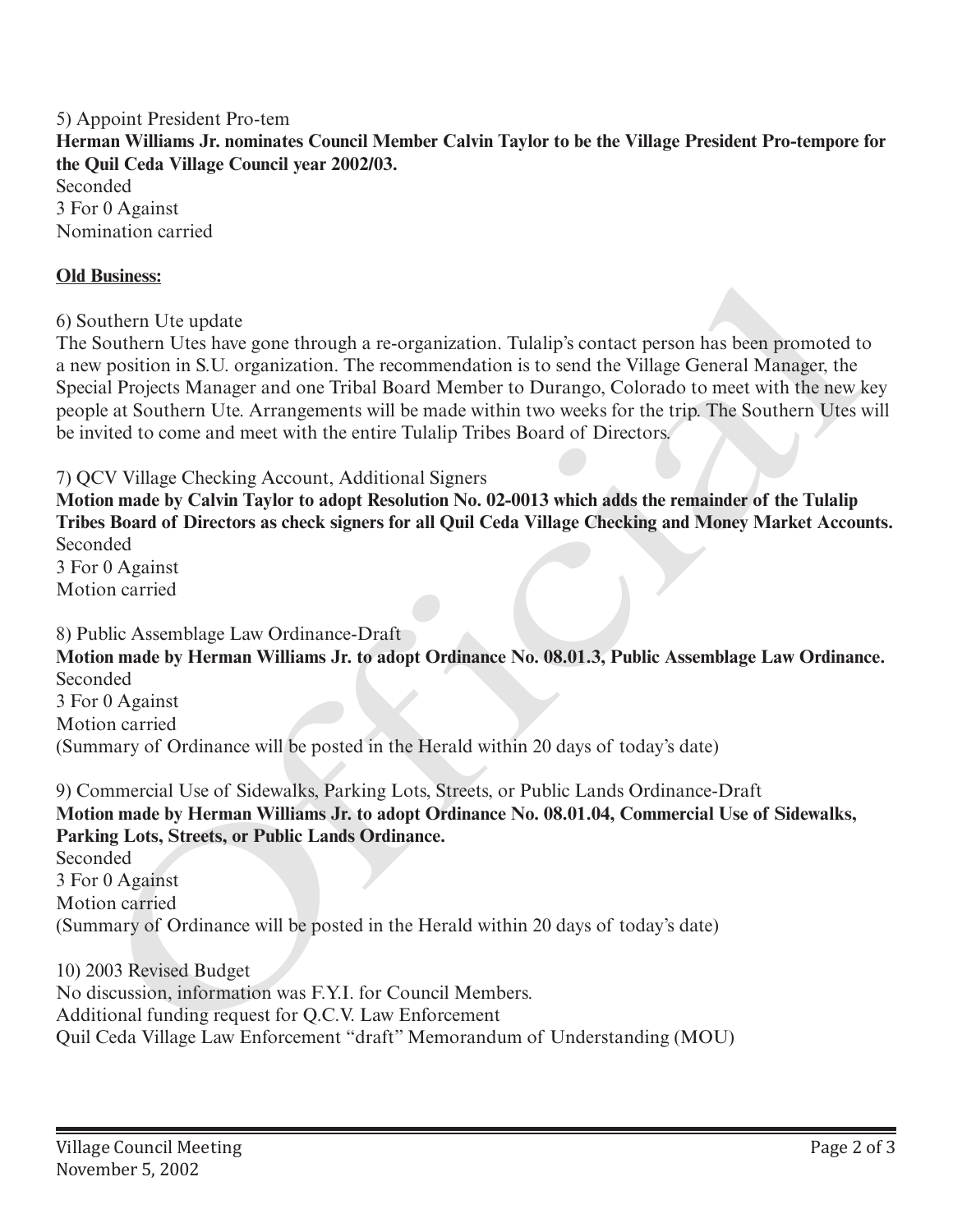5) Appoint President Pro-tem **Herman Williams Jr. nominates Council Member Calvin Taylor to be the Village President Pro-tempore for the Quil Ceda Village Council year 2002/03.** Seconded 3 For 0 Against

Nomination carried

#### **Old Business:**

6) Southern Ute update

The Southern Utes have gone through a re-organization. Tulalip's contact person has been promoted to a new position in S.U. organization. The recommendation is to send the Village General Manager, the Special Projects Manager and one Tribal Board Member to Durango, Colorado to meet with the new key people at Southern Ute. Arrangements will be made within two weeks for the trip. The Southern Utes will be invited to come and meet with the entire Tulalip Tribes Board of Directors. Old Bissiness:<br>
66 Stouthern Ute update<br>
66 Southern Utes have gone through a re-organization, Tulalip's contact person has been promoted to<br>
The Southern Utes have gone through a re-organization. The recommendation is to

7) QCV Village Checking Account, Additional Signers

**Motion made by Calvin Taylor to adopt Resolution No. 02-0013 which adds the remainder of the Tulalip Tribes Board of Directors as check signers for all Quil Ceda Village Checking and Money Market Accounts.** Seconded 3 For 0 Against

Motion carried

8) Public Assemblage Law Ordinance-Draft

**Motion made by Herman Williams Jr. to adopt Ordinance No. 08.01.3, Public Assemblage Law Ordinance.** Seconded

3 For 0 Against Motion carried (Summary of Ordinance will be posted in the Herald within 20 days of today's date)

9) Commercial Use of Sidewalks, Parking Lots, Streets, or Public Lands Ordinance-Draft **Motion made by Herman Williams Jr. to adopt Ordinance No. 08.01.04, Commercial Use of Sidewalks, Parking Lots, Streets, or Public Lands Ordinance.**

Seconded 3 For 0 Against Motion carried (Summary of Ordinance will be posted in the Herald within 20 days of today's date)

10) 2003 Revised Budget No discussion, information was F.Y.I. for Council Members. Additional funding request for Q.C.V. Law Enforcement